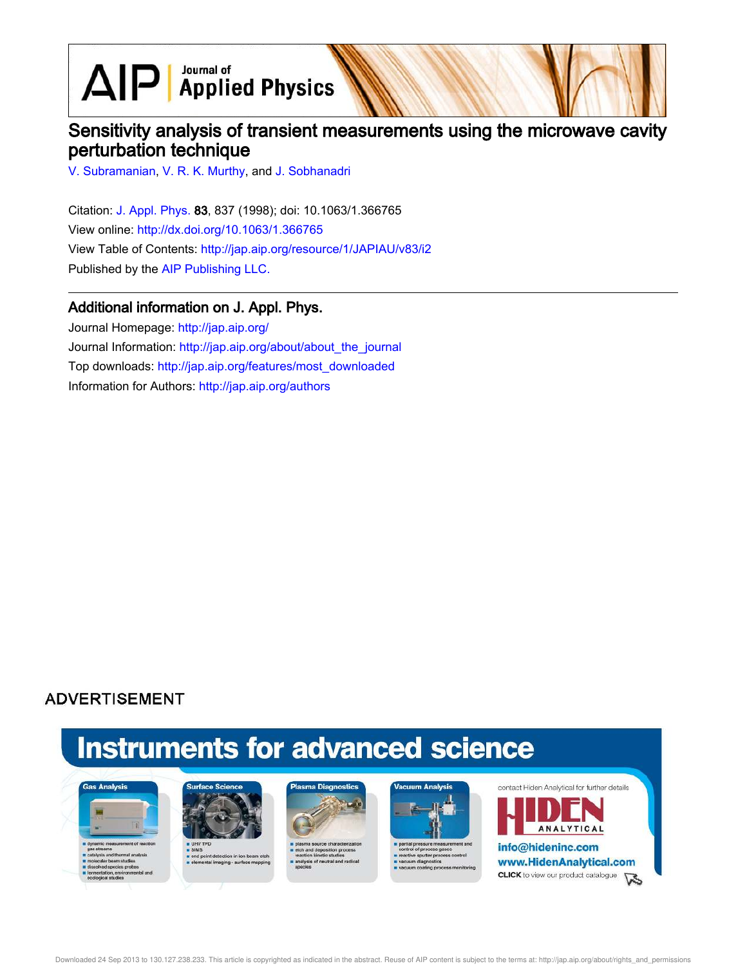$\text{AlP}$  Applied Physics

## Sensitivity analysis of transient measurements using the microwave cavity perturbation technique

V. Subramanian, V. R. K. Murthy, and J. Sobhanadri

Citation: J. Appl. Phys. 83, 837 (1998); doi: 10.1063/1.366765 View online: http://dx.doi.org/10.1063/1.366765 View Table of Contents: http://jap.aip.org/resource/1/JAPIAU/v83/i2 Published by the AIP Publishing LLC.

### Additional information on J. Appl. Phys.

Journal Homepage: http://jap.aip.org/ Journal Information: http://jap.aip.org/about/about\_the\_journal Top downloads: http://jap.aip.org/features/most\_downloaded Information for Authors: http://jap.aip.org/authors

## **ADVERTISEMENT**

# **Instruments for advanced science**





s end point detection in ion bear<br>selemental imaging - surface mi





partial pressure measure re sputter pri cess control um diagno



**ANALYTICAL** info@hideninc.com www.HidenAnalytical.com **CLICK** to view our product catalogue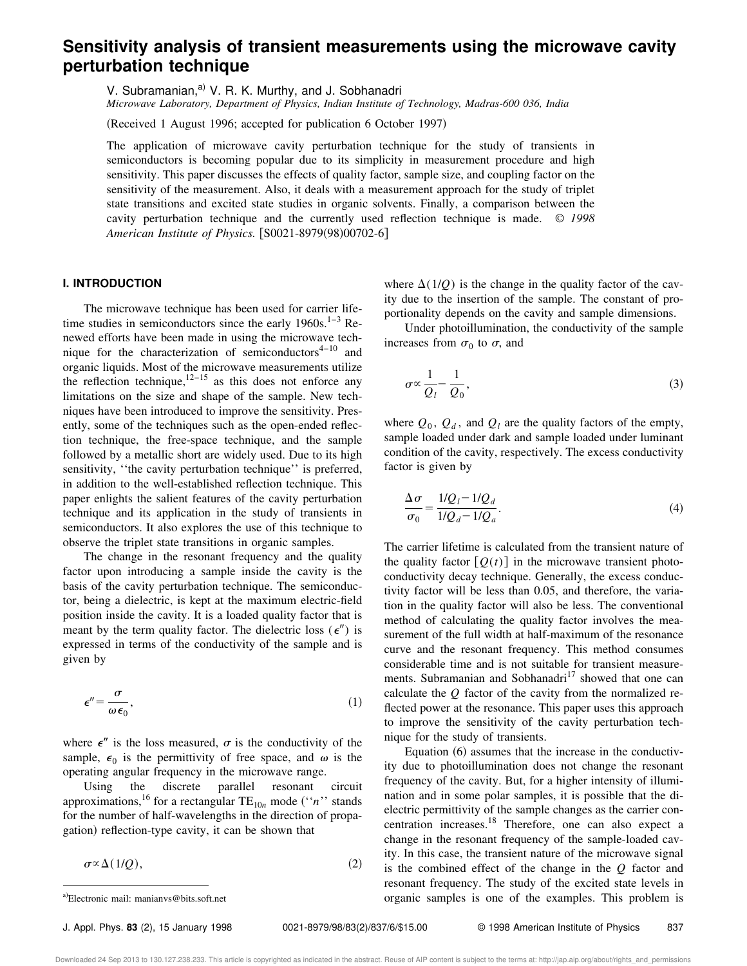## **Sensitivity analysis of transient measurements using the microwave cavity perturbation technique**

V. Subramanian,<sup>a)</sup> V. R. K. Murthy, and J. Sobhanadri

*Microwave Laboratory, Department of Physics, Indian Institute of Technology, Madras-600 036, India*

(Received 1 August 1996; accepted for publication 6 October 1997)

The application of microwave cavity perturbation technique for the study of transients in semiconductors is becoming popular due to its simplicity in measurement procedure and high sensitivity. This paper discusses the effects of quality factor, sample size, and coupling factor on the sensitivity of the measurement. Also, it deals with a measurement approach for the study of triplet state transitions and excited state studies in organic solvents. Finally, a comparison between the cavity perturbation technique and the currently used reflection technique is made. © *1998 American Institute of Physics.* [S0021-8979(98)00702-6]

#### **I. INTRODUCTION**

The microwave technique has been used for carrier lifetime studies in semiconductors since the early  $1960s$ .<sup>1–3</sup> Renewed efforts have been made in using the microwave technique for the characterization of semiconductors $4-10$  and organic liquids. Most of the microwave measurements utilize the reflection technique,  $12-15$  as this does not enforce any limitations on the size and shape of the sample. New techniques have been introduced to improve the sensitivity. Presently, some of the techniques such as the open-ended reflection technique, the free-space technique, and the sample followed by a metallic short are widely used. Due to its high sensitivity, ''the cavity perturbation technique'' is preferred, in addition to the well-established reflection technique. This paper enlights the salient features of the cavity perturbation technique and its application in the study of transients in semiconductors. It also explores the use of this technique to observe the triplet state transitions in organic samples.

The change in the resonant frequency and the quality factor upon introducing a sample inside the cavity is the basis of the cavity perturbation technique. The semiconductor, being a dielectric, is kept at the maximum electric-field position inside the cavity. It is a loaded quality factor that is meant by the term quality factor. The dielectric loss  $(\epsilon'')$  is expressed in terms of the conductivity of the sample and is given by

$$
\epsilon'' = \frac{\sigma}{\omega \epsilon_0},\tag{1}
$$

where  $\epsilon''$  is the loss measured,  $\sigma$  is the conductivity of the sample,  $\epsilon_0$  is the permittivity of free space, and  $\omega$  is the operating angular frequency in the microwave range.

Using the discrete parallel resonant circuit approximations,<sup>16</sup> for a rectangular  $TE_{10n}$  mode ("*n*" stands for the number of half-wavelengths in the direction of propagation) reflection-type cavity, it can be shown that

 $\sigma \propto \Delta(1/Q)$ , (2)

where  $\Delta(1/Q)$  is the change in the quality factor of the cavity due to the insertion of the sample. The constant of proportionality depends on the cavity and sample dimensions.

Under photoillumination, the conductivity of the sample increases from  $\sigma_0$  to  $\sigma$ , and

$$
\sigma \propto \frac{1}{Q_l} - \frac{1}{Q_0},\tag{3}
$$

where  $Q_0$ ,  $Q_d$ , and  $Q_l$  are the quality factors of the empty, sample loaded under dark and sample loaded under luminant condition of the cavity, respectively. The excess conductivity factor is given by

$$
\frac{\Delta \sigma}{\sigma_0} = \frac{1/Q_l - 1/Q_d}{1/Q_d - 1/Q_a}.
$$
\n(4)

The carrier lifetime is calculated from the transient nature of the quality factor  $[Q(t)]$  in the microwave transient photoconductivity decay technique. Generally, the excess conductivity factor will be less than 0.05, and therefore, the variation in the quality factor will also be less. The conventional method of calculating the quality factor involves the measurement of the full width at half-maximum of the resonance curve and the resonant frequency. This method consumes considerable time and is not suitable for transient measurements. Subramanian and Sobhanadri<sup>17</sup> showed that one can calculate the *Q* factor of the cavity from the normalized reflected power at the resonance. This paper uses this approach to improve the sensitivity of the cavity perturbation technique for the study of transients.

Equation  $(6)$  assumes that the increase in the conductivity due to photoillumination does not change the resonant frequency of the cavity. But, for a higher intensity of illumination and in some polar samples, it is possible that the dielectric permittivity of the sample changes as the carrier concentration increases.<sup>18</sup> Therefore, one can also expect a change in the resonant frequency of the sample-loaded cavity. In this case, the transient nature of the microwave signal is the combined effect of the change in the *Q* factor and resonant frequency. The study of the excited state levels in a)Electronic mail: manianvs@bits.soft.net **a.b. in the examples** is one of the examples. This problem is a unitally problem is a unital version of the examples is one of the examples. This problem is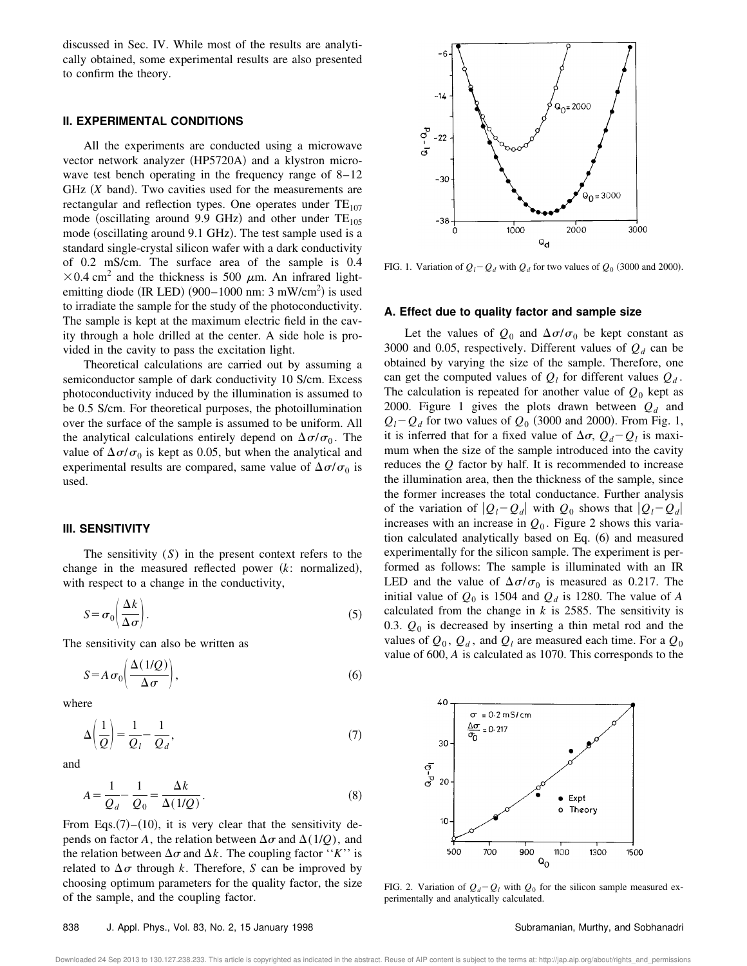discussed in Sec. IV. While most of the results are analytically obtained, some experimental results are also presented to confirm the theory.

#### **II. EXPERIMENTAL CONDITIONS**

All the experiments are conducted using a microwave vector network analyzer (HP5720A) and a klystron microwave test bench operating in the frequency range of 8–12 GHz (*X* band). Two cavities used for the measurements are rectangular and reflection types. One operates under  $TE_{107}$ mode (oscillating around 9.9 GHz) and other under  $TE_{105}$ mode (oscillating around 9.1 GHz). The test sample used is a standard single-crystal silicon wafer with a dark conductivity of 0.2 mS/cm. The surface area of the sample is 0.4  $\times$ 0.4 cm<sup>2</sup> and the thickness is 500  $\mu$ m. An infrared lightemitting diode (IR LED)  $(900-1000 \text{ nm}$ : 3 mW/cm<sup>2</sup>) is used to irradiate the sample for the study of the photoconductivity. The sample is kept at the maximum electric field in the cavity through a hole drilled at the center. A side hole is provided in the cavity to pass the excitation light.

Theoretical calculations are carried out by assuming a semiconductor sample of dark conductivity 10 S/cm. Excess photoconductivity induced by the illumination is assumed to be 0.5 S/cm. For theoretical purposes, the photoillumination over the surface of the sample is assumed to be uniform. All the analytical calculations entirely depend on  $\Delta \sigma / \sigma_0$ . The value of  $\Delta \sigma / \sigma_0$  is kept as 0.05, but when the analytical and experimental results are compared, same value of  $\Delta \sigma / \sigma_0$  is used.

#### **III. SENSITIVITY**

The sensitivity (*S*) in the present context refers to the change in the measured reflected power  $(k:$  normalized), with respect to a change in the conductivity,

$$
S = \sigma_0 \left( \frac{\Delta k}{\Delta \sigma} \right). \tag{5}
$$

The sensitivity can also be written as

$$
S = A \sigma_0 \left( \frac{\Delta(1/Q)}{\Delta \sigma} \right),\tag{6}
$$

where

$$
\Delta\left(\frac{1}{Q}\right) = \frac{1}{Q_l} - \frac{1}{Q_d},\tag{7}
$$

and

$$
A = \frac{1}{Q_d} - \frac{1}{Q_0} = \frac{\Delta k}{\Delta (1/Q)}.
$$
 (8)

From Eqs. $(7)$ – $(10)$ , it is very clear that the sensitivity depends on factor *A*, the relation between  $\Delta \sigma$  and  $\Delta(1/Q)$ , and the relation between  $\Delta \sigma$  and  $\Delta k$ . The coupling factor "*K*" is related to  $\Delta \sigma$  through *k*. Therefore, *S* can be improved by choosing optimum parameters for the quality factor, the size of the sample, and the coupling factor.



FIG. 1. Variation of  $Q_l - Q_d$  with  $Q_d$  for two values of  $Q_0$  (3000 and 2000).

#### **A. Effect due to quality factor and sample size**

Let the values of  $Q_0$  and  $\Delta \sigma / \sigma_0$  be kept constant as 3000 and 0.05, respectively. Different values of  $Q_d$  can be obtained by varying the size of the sample. Therefore, one can get the computed values of  $Q_l$  for different values  $Q_d$ . The calculation is repeated for another value of  $Q_0$  kept as 2000. Figure 1 gives the plots drawn between *Q<sup>d</sup>* and  $Q_l - Q_d$  for two values of  $Q_0$  (3000 and 2000). From Fig. 1, it is inferred that for a fixed value of  $\Delta \sigma$ ,  $Q_d - Q_l$  is maximum when the size of the sample introduced into the cavity reduces the *Q* factor by half. It is recommended to increase the illumination area, then the thickness of the sample, since the former increases the total conductance. Further analysis of the variation of  $|Q_l - Q_d|$  with  $Q_0$  shows that  $|Q_l - Q_d|$ increases with an increase in  $Q_0$ . Figure 2 shows this variation calculated analytically based on Eq.  $(6)$  and measured experimentally for the silicon sample. The experiment is performed as follows: The sample is illuminated with an IR LED and the value of  $\Delta \sigma / \sigma_0$  is measured as 0.217. The initial value of  $Q_0$  is 1504 and  $Q_d$  is 1280. The value of *A* calculated from the change in *k* is 2585. The sensitivity is 0.3.  $Q_0$  is decreased by inserting a thin metal rod and the values of  $Q_0$ ,  $Q_d$ , and  $Q_l$  are measured each time. For a  $Q_0$ value of 600, *A* is calculated as 1070. This corresponds to the



FIG. 2. Variation of  $Q_d - Q_l$  with  $Q_0$  for the silicon sample measured experimentally and analytically calculated.

#### 838 J. Appl. Phys., Vol. 83, No. 2, 15 January 1998 Subramanian, Murthy, and Sobhanadri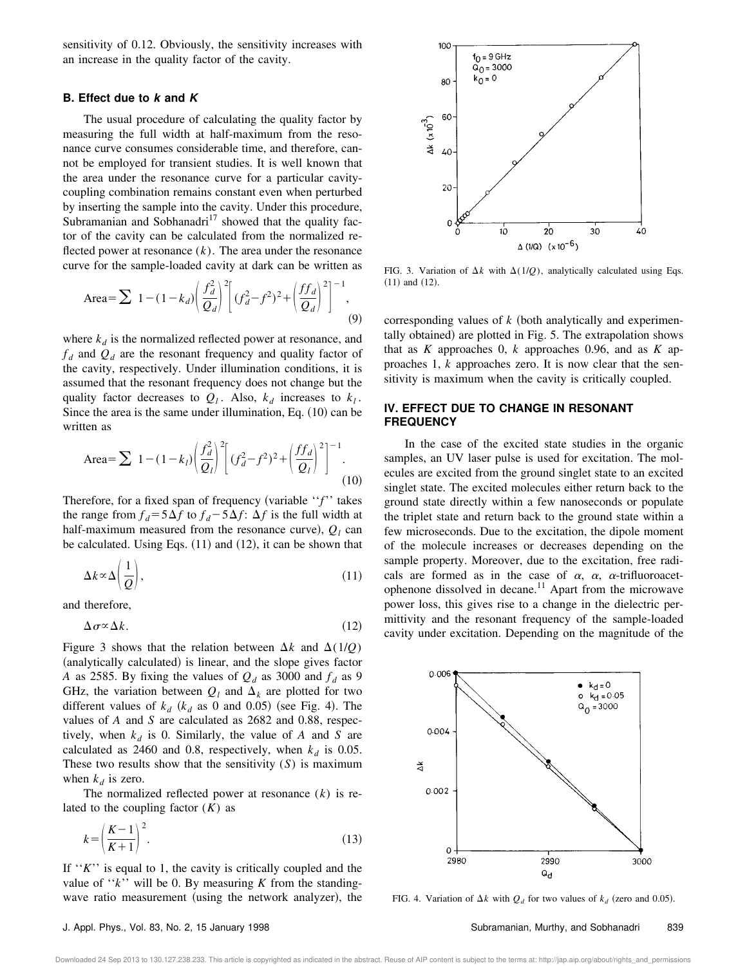sensitivity of 0.12. Obviously, the sensitivity increases with an increase in the quality factor of the cavity.

#### **B. Effect due to k and K**

The usual procedure of calculating the quality factor by measuring the full width at half-maximum from the resonance curve consumes considerable time, and therefore, cannot be employed for transient studies. It is well known that the area under the resonance curve for a particular cavitycoupling combination remains constant even when perturbed by inserting the sample into the cavity. Under this procedure, Subramanian and Sobhanadri<sup>17</sup> showed that the quality factor of the cavity can be calculated from the normalized reflected power at resonance  $(k)$ . The area under the resonance curve for the sample-loaded cavity at dark can be written as

Area=
$$
\sum 1-(1-k_d)\left(\frac{f_d^2}{Q_d}\right)^2 \left[ (f_d^2-f^2)^2 + \left(\frac{f_f^2}{Q_d}\right)^2 \right]^{-1}
$$
, (9)

where  $k_d$  is the normalized reflected power at resonance, and  $f_d$  and  $Q_d$  are the resonant frequency and quality factor of the cavity, respectively. Under illumination conditions, it is assumed that the resonant frequency does not change but the quality factor decreases to  $Q_l$ . Also,  $k_d$  increases to  $k_l$ . Since the area is the same under illumination, Eq.  $(10)$  can be written as

Area=
$$
\sum 1-(1-k_l)\left(\frac{f_d^2}{Q_l}\right)^2 \left[(f_d^2-f^2)^2+\left(\frac{f f_d}{Q_l}\right)^2\right]^{-1}
$$
 (10)

Therefore, for a fixed span of frequency (variable "*f*" takes the range from  $f_d = 5\Delta f$  to  $f_d - 5\Delta f$ :  $\Delta f$  is the full width at half-maximum measured from the resonance curve),  $Q_l$  can be calculated. Using Eqs.  $(11)$  and  $(12)$ , it can be shown that

$$
\Delta k \propto \Delta \left(\frac{1}{Q}\right),\tag{11}
$$

and therefore,

$$
\Delta \sigma \propto \Delta k. \tag{12}
$$

Figure 3 shows that the relation between  $\Delta k$  and  $\Delta(1/Q)$ (analytically calculated) is linear, and the slope gives factor *A* as 2585. By fixing the values of  $Q_d$  as 3000 and  $f_d$  as 9 GHz, the variation between  $Q_l$  and  $\Delta_k$  are plotted for two different values of  $k_d$  ( $k_d$  as 0 and 0.05) (see Fig. 4). The values of *A* and *S* are calculated as 2682 and 0.88, respectively, when  $k_d$  is 0. Similarly, the value of *A* and *S* are calculated as 2460 and 0.8, respectively, when  $k_d$  is 0.05. These two results show that the sensitivity (*S*) is maximum when  $k_d$  is zero.

The normalized reflected power at resonance (*k*) is related to the coupling factor (*K*) as

$$
k = \left(\frac{K-1}{K+1}\right)^2.
$$
\n(13)

If ''*K*'' is equal to 1, the cavity is critically coupled and the value of ''*k*'' will be 0. By measuring *K* from the standingwave ratio measurement (using the network analyzer), the



FIG. 3. Variation of  $\Delta k$  with  $\Delta(1/Q)$ , analytically calculated using Eqs.  $(11)$  and  $(12)$ .

corresponding values of  $k$  (both analytically and experimentally obtained) are plotted in Fig. 5. The extrapolation shows that as *K* approaches 0, *k* approaches 0.96, and as *K* approaches 1, *k* approaches zero. It is now clear that the sensitivity is maximum when the cavity is critically coupled.

#### **IV. EFFECT DUE TO CHANGE IN RESONANT FREQUENCY**

In the case of the excited state studies in the organic samples, an UV laser pulse is used for excitation. The molecules are excited from the ground singlet state to an excited singlet state. The excited molecules either return back to the ground state directly within a few nanoseconds or populate the triplet state and return back to the ground state within a few microseconds. Due to the excitation, the dipole moment of the molecule increases or decreases depending on the sample property. Moreover, due to the excitation, free radicals are formed as in the case of  $\alpha$ ,  $\alpha$ ,  $\alpha$ -trifluoroacetophenone dissolved in decane.<sup>11</sup> Apart from the microwave power loss, this gives rise to a change in the dielectric permittivity and the resonant frequency of the sample-loaded cavity under excitation. Depending on the magnitude of the



FIG. 4. Variation of  $\Delta k$  with  $Q_d$  for two values of  $k_d$  (zero and 0.05).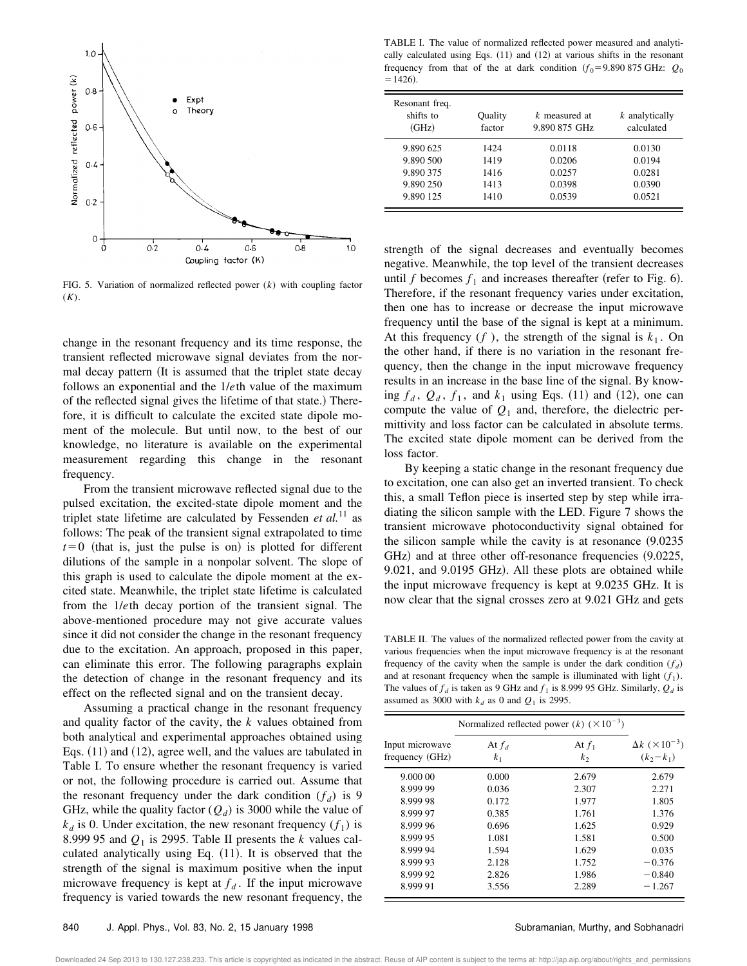

FIG. 5. Variation of normalized reflected power (*k*) with coupling factor (*K*).

change in the resonant frequency and its time response, the transient reflected microwave signal deviates from the normal decay pattern (It is assumed that the triplet state decay follows an exponential and the 1/*e*th value of the maximum of the reflected signal gives the lifetime of that state.) Therefore, it is difficult to calculate the excited state dipole moment of the molecule. But until now, to the best of our knowledge, no literature is available on the experimental measurement regarding this change in the resonant frequency.

From the transient microwave reflected signal due to the pulsed excitation, the excited-state dipole moment and the triplet state lifetime are calculated by Fessenden *et al.*<sup>11</sup> as follows: The peak of the transient signal extrapolated to time  $t=0$  (that is, just the pulse is on) is plotted for different dilutions of the sample in a nonpolar solvent. The slope of this graph is used to calculate the dipole moment at the excited state. Meanwhile, the triplet state lifetime is calculated from the 1/*e*th decay portion of the transient signal. The above-mentioned procedure may not give accurate values since it did not consider the change in the resonant frequency due to the excitation. An approach, proposed in this paper, can eliminate this error. The following paragraphs explain the detection of change in the resonant frequency and its effect on the reflected signal and on the transient decay.

Assuming a practical change in the resonant frequency and quality factor of the cavity, the *k* values obtained from both analytical and experimental approaches obtained using Eqs.  $(11)$  and  $(12)$ , agree well, and the values are tabulated in Table I. To ensure whether the resonant frequency is varied or not, the following procedure is carried out. Assume that the resonant frequency under the dark condition  $(f_d)$  is 9 GHz, while the quality factor  $(Q_d)$  is 3000 while the value of  $k_d$  is 0. Under excitation, the new resonant frequency  $(f_1)$  is 8.999 95 and  $Q_1$  is 2995. Table II presents the  $k$  values calculated analytically using Eq.  $(11)$ . It is observed that the strength of the signal is maximum positive when the input microwave frequency is kept at  $f_d$ . If the input microwave frequency is varied towards the new resonant frequency, the

TABLE I. The value of normalized reflected power measured and analytically calculated using Eqs.  $(11)$  and  $(12)$  at various shifts in the resonant frequency from that of the at dark condition  $(f_0 = 9.890 875 \text{ GHz: } Q_0$  $=1426.$ 

| Resonant freq.<br>shifts to<br>(GHz) | Quality<br>factor | k measured at<br>9.890 875 GHz | $k$ analytically<br>calculated |
|--------------------------------------|-------------------|--------------------------------|--------------------------------|
| 9.890 625                            | 1424              | 0.0118                         | 0.0130                         |
| 9.890 500                            | 1419              | 0.0206                         | 0.0194                         |
| 9.890 375                            | 1416              | 0.0257                         | 0.0281                         |
| 9.890 250                            | 1413              | 0.0398                         | 0.0390                         |
| 9.890 125                            | 1410              | 0.0539                         | 0.0521                         |

strength of the signal decreases and eventually becomes negative. Meanwhile, the top level of the transient decreases until *f* becomes  $f_1$  and increases thereafter (refer to Fig. 6). Therefore, if the resonant frequency varies under excitation, then one has to increase or decrease the input microwave frequency until the base of the signal is kept at a minimum. At this frequency  $(f)$ , the strength of the signal is  $k_1$ . On the other hand, if there is no variation in the resonant frequency, then the change in the input microwave frequency results in an increase in the base line of the signal. By knowing  $f_d$ ,  $Q_d$ ,  $f_1$ , and  $k_1$  using Eqs. (11) and (12), one can compute the value of  $Q_1$  and, therefore, the dielectric permittivity and loss factor can be calculated in absolute terms. The excited state dipole moment can be derived from the loss factor.

By keeping a static change in the resonant frequency due to excitation, one can also get an inverted transient. To check this, a small Teflon piece is inserted step by step while irradiating the silicon sample with the LED. Figure 7 shows the transient microwave photoconductivity signal obtained for the silicon sample while the cavity is at resonance  $(9.0235)$  $GHz)$  and at three other off-resonance frequencies  $(9.0225, 1.0225)$ 9.021, and 9.0195 GHz). All these plots are obtained while the input microwave frequency is kept at 9.0235 GHz. It is now clear that the signal crosses zero at 9.021 GHz and gets

TABLE II. The values of the normalized reflected power from the cavity at various frequencies when the input microwave frequency is at the resonant frequency of the cavity when the sample is under the dark condition  $(f_d)$ and at resonant frequency when the sample is illuminated with light  $(f_1)$ . The values of  $f_d$  is taken as 9 GHz and  $f_1$  is 8.999 95 GHz. Similarly,  $Q_d$  is assumed as 3000 with  $k_d$  as 0 and  $Q_1$  is 2995.

| Input microwave<br>frequency (GHz) | Normalized reflected power $(k)$ $(\times 10^{-3})$ |                     |                                                  |
|------------------------------------|-----------------------------------------------------|---------------------|--------------------------------------------------|
|                                    | At $f_d$<br>k <sub>1</sub>                          | At $f_1$<br>$k_{2}$ | $\Delta k$ ( $\times 10^{-3}$ )<br>$(k_2 - k_1)$ |
| 9.000 00                           | 0.000                                               | 2.679               | 2.679                                            |
| 8.999 99                           | 0.036                                               | 2.307               | 2.271                                            |
| 8.999 98                           | 0.172                                               | 1.977               | 1.805                                            |
| 8.999 97                           | 0.385                                               | 1.761               | 1.376                                            |
| 8.999.96                           | 0.696                                               | 1.625               | 0.929                                            |
| 8.999 95                           | 1.081                                               | 1.581               | 0.500                                            |
| 8.999 94                           | 1.594                                               | 1.629               | 0.035                                            |
| 8.999 93                           | 2.128                                               | 1.752               | $-0.376$                                         |
| 8.999 92                           | 2.826                                               | 1.986               | $-0.840$                                         |
| 8.999 91                           | 3.556                                               | 2.289               | $-1.267$                                         |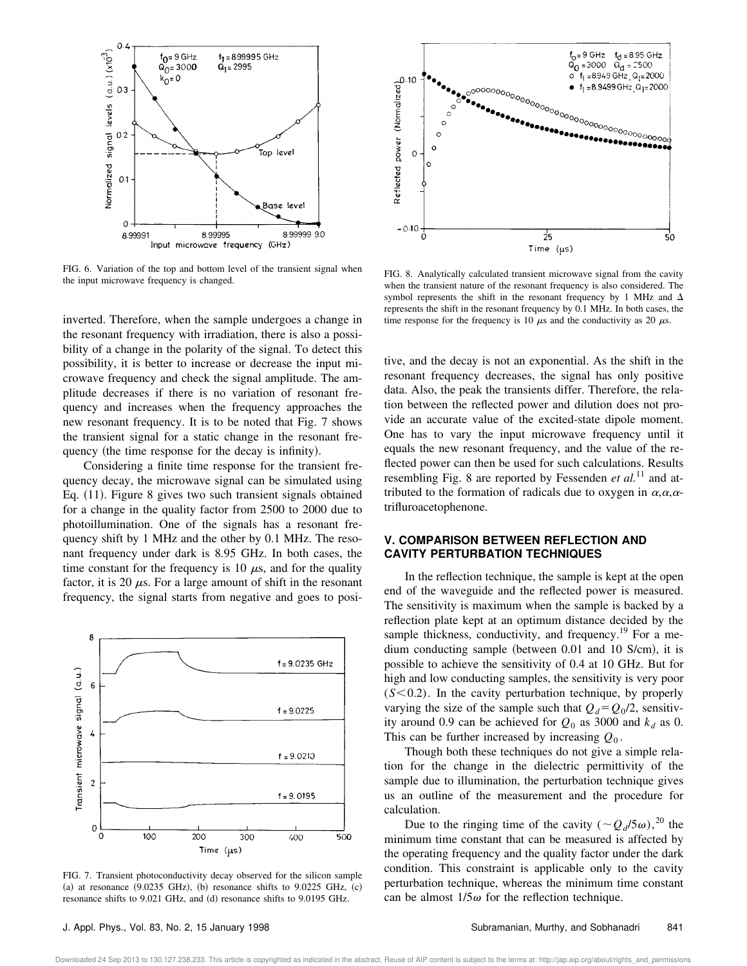

FIG. 6. Variation of the top and bottom level of the transient signal when the input microwave frequency is changed.

inverted. Therefore, when the sample undergoes a change in the resonant frequency with irradiation, there is also a possibility of a change in the polarity of the signal. To detect this possibility, it is better to increase or decrease the input microwave frequency and check the signal amplitude. The amplitude decreases if there is no variation of resonant frequency and increases when the frequency approaches the new resonant frequency. It is to be noted that Fig. 7 shows the transient signal for a static change in the resonant frequency (the time response for the decay is infinity).

Considering a finite time response for the transient frequency decay, the microwave signal can be simulated using Eq.  $(11)$ . Figure 8 gives two such transient signals obtained for a change in the quality factor from 2500 to 2000 due to photoillumination. One of the signals has a resonant frequency shift by 1 MHz and the other by 0.1 MHz. The resonant frequency under dark is 8.95 GHz. In both cases, the time constant for the frequency is 10  $\mu$ s, and for the quality factor, it is 20  $\mu$ s. For a large amount of shift in the resonant frequency, the signal starts from negative and goes to posi-



FIG. 7. Transient photoconductivity decay observed for the silicon sample (a) at resonance  $(9.0235 \text{ GHz})$ , (b) resonance shifts to  $9.0225 \text{ GHz}$ , (c) resonance shifts to 9.021 GHz, and (d) resonance shifts to 9.0195 GHz.



FIG. 8. Analytically calculated transient microwave signal from the cavity when the transient nature of the resonant frequency is also considered. The symbol represents the shift in the resonant frequency by 1 MHz and  $\Delta$ represents the shift in the resonant frequency by 0.1 MHz. In both cases, the time response for the frequency is 10  $\mu$ s and the conductivity as 20  $\mu$ s.

tive, and the decay is not an exponential. As the shift in the resonant frequency decreases, the signal has only positive data. Also, the peak the transients differ. Therefore, the relation between the reflected power and dilution does not provide an accurate value of the excited-state dipole moment. One has to vary the input microwave frequency until it equals the new resonant frequency, and the value of the reflected power can then be used for such calculations. Results resembling Fig. 8 are reported by Fessenden *et al.*<sup>11</sup> and attributed to the formation of radicals due to oxygen in  $\alpha, \alpha, \alpha$ trifluroacetophenone.

#### **V. COMPARISON BETWEEN REFLECTION AND CAVITY PERTURBATION TECHNIQUES**

In the reflection technique, the sample is kept at the open end of the waveguide and the reflected power is measured. The sensitivity is maximum when the sample is backed by a reflection plate kept at an optimum distance decided by the sample thickness, conductivity, and frequency.<sup>19</sup> For a medium conducting sample (between  $0.01$  and  $10$  S/cm), it is possible to achieve the sensitivity of 0.4 at 10 GHz. But for high and low conducting samples, the sensitivity is very poor  $(S<0.2)$ . In the cavity perturbation technique, by properly varying the size of the sample such that  $Q_d = Q_0/2$ , sensitivity around 0.9 can be achieved for  $Q_0$  as 3000 and  $k_d$  as 0. This can be further increased by increasing *Q*<sup>0</sup> .

Though both these techniques do not give a simple relation for the change in the dielectric permittivity of the sample due to illumination, the perturbation technique gives us an outline of the measurement and the procedure for calculation.

Due to the ringing time of the cavity  $({\sim}Q_d/5\omega)$ ,<sup>20</sup> the minimum time constant that can be measured is affected by the operating frequency and the quality factor under the dark condition. This constraint is applicable only to the cavity perturbation technique, whereas the minimum time constant can be almost  $1/5\omega$  for the reflection technique.